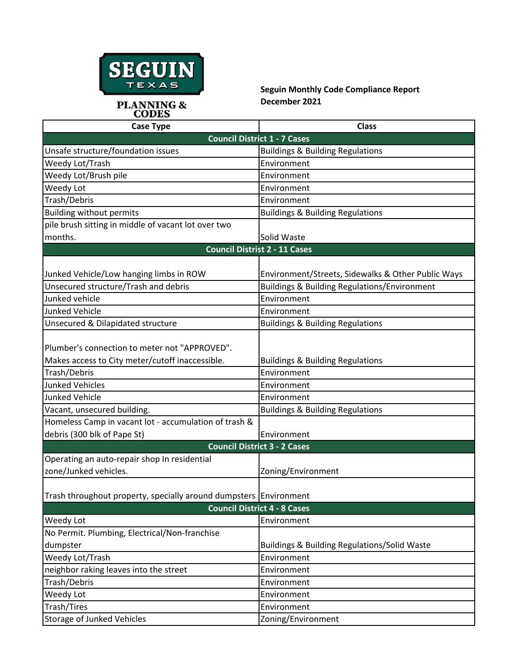

## **Seguin Monthly Code Compliance Report December 2021**

| <b>Case Type</b>                                                  | <b>Class</b>                                            |  |
|-------------------------------------------------------------------|---------------------------------------------------------|--|
| <b>Council District 1 - 7 Cases</b>                               |                                                         |  |
| Unsafe structure/foundation issues                                | <b>Buildings &amp; Building Regulations</b>             |  |
| Weedy Lot/Trash                                                   | Environment                                             |  |
| Weedy Lot/Brush pile                                              | Environment                                             |  |
| Weedy Lot                                                         | Environment                                             |  |
| Trash/Debris                                                      | Environment                                             |  |
| <b>Building without permits</b>                                   | <b>Buildings &amp; Building Regulations</b>             |  |
| pile brush sitting in middle of vacant lot over two               |                                                         |  |
| months.                                                           | Solid Waste                                             |  |
| <b>Council Distrist 2 - 11 Cases</b>                              |                                                         |  |
|                                                                   |                                                         |  |
| Junked Vehicle/Low hanging limbs in ROW                           | Environment/Streets, Sidewalks & Other Public Ways      |  |
| Unsecured structure/Trash and debris                              | <b>Buildings &amp; Building Regulations/Environment</b> |  |
| Junked vehicle                                                    | Environment                                             |  |
| <b>Junked Vehicle</b>                                             | Environment                                             |  |
| Unsecured & Dilapidated structure                                 | <b>Buildings &amp; Building Regulations</b>             |  |
|                                                                   |                                                         |  |
| Plumber's connection to meter not "APPROVED".                     |                                                         |  |
| Makes access to City meter/cutoff inaccessible.                   | <b>Buildings &amp; Building Regulations</b>             |  |
| Trash/Debris                                                      | Environment                                             |  |
| <b>Junked Vehicles</b>                                            | Environment                                             |  |
| <b>Junked Vehicle</b>                                             | Environment                                             |  |
| Vacant, unsecured building.                                       | <b>Buildings &amp; Building Regulations</b>             |  |
| Homeless Camp in vacant lot - accumulation of trash &             |                                                         |  |
| debris (300 blk of Pape St)                                       | Environment                                             |  |
| <b>Council District 3 - 2 Cases</b>                               |                                                         |  |
| Operating an auto-repair shop In residential                      |                                                         |  |
| zone/Junked vehicles.                                             | Zoning/Environment                                      |  |
|                                                                   |                                                         |  |
| Trash throughout property, specially around dumpsters Environment |                                                         |  |
| <b>Council District 4 - 8 Cases</b>                               |                                                         |  |
| Weedy Lot                                                         | Environment                                             |  |
| No Permit. Plumbing, Electrical/Non-franchise                     |                                                         |  |
| dumpster                                                          | <b>Buildings &amp; Building Regulations/Solid Waste</b> |  |
| Weedy Lot/Trash                                                   | Environment                                             |  |
| neighbor raking leaves into the street                            | Environment                                             |  |
| Trash/Debris                                                      | Environment                                             |  |
| Weedy Lot                                                         | Environment                                             |  |
| Trash/Tires                                                       | Environment                                             |  |
| <b>Storage of Junked Vehicles</b>                                 | Zoning/Environment                                      |  |